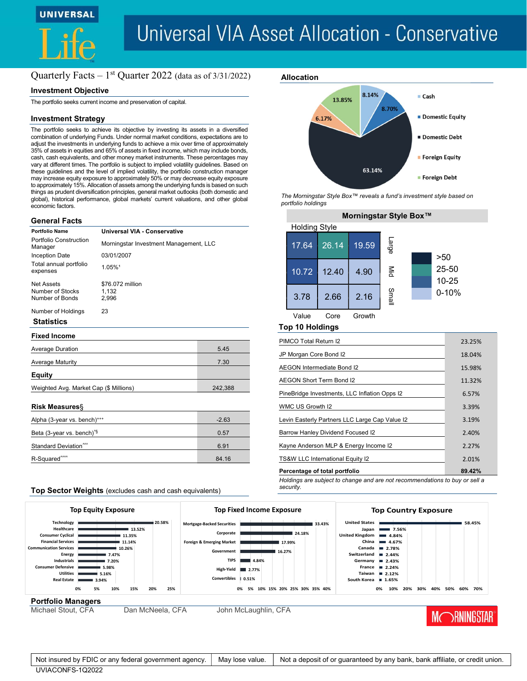

# **Universal VIA Asset Allocation - Conservative**

Allocation

## Quarterly Facts  $-1$ <sup>st</sup> Quarter 2022 (data as of  $3/31/2022$ )

#### Investment Objective

The portfolio seeks current income and preservation of capital.

## Investment Strategy

The portfolio seeks to achieve its objective by investing its assets in a diversified combination of underlying Funds. Under normal market conditions, expectations are to adjust the investments in underlying funds to achieve a mix over time of approximately 35% of assets in equities and 65% of assets in fixed income, which may include bonds, cash, cash equivalents, and other money market instruments. These percentages may vary at different times. The portfolio is subject to implied volatility guidelines. Based on these guidelines and the level of implied volatility, the portfolio construction manager may increase equity exposure to approximately 50% or may decrease equity exposure to approximately 15%. Allocation of assets among the underlying funds is based on such things as prudent diversification principles, general market outlooks (both domestic and global), historical performance, global markets' current valuations, and other global economic factors.

#### General Facts

| <b>Portfolio Name</b>                             | Universal VIA - Conservative           |      |  |  |  |  |
|---------------------------------------------------|----------------------------------------|------|--|--|--|--|
| Portfolio Construction<br>Manager                 | Morningstar Investment Management, LLC |      |  |  |  |  |
| Inception Date                                    | 03/01/2007                             |      |  |  |  |  |
| Total annual portfolio<br>expenses                | 1.05%1                                 |      |  |  |  |  |
| Net Assets<br>Number of Stocks<br>Number of Bonds | \$76,072 million<br>1,132<br>2,996     |      |  |  |  |  |
| Number of Holdings                                | 23                                     |      |  |  |  |  |
| <b>Statistics</b>                                 |                                        |      |  |  |  |  |
| <b>Fixed Income</b>                               |                                        |      |  |  |  |  |
| <b>Average Duration</b>                           |                                        | 5.45 |  |  |  |  |
| 7.30<br><b>Average Maturity</b>                   |                                        |      |  |  |  |  |
| Equity                                            |                                        |      |  |  |  |  |

### Weighted Avg. Market Cap (\$ Millions) 242,388

#### Risk Measures§

| Alpha (3-year vs. bench)***                                 | $-2.63$ |
|-------------------------------------------------------------|---------|
| Beta (3-year vs. bench) <sup><math>\frac{1}{3}</math></sup> | 0.57    |
| Standard Deviation <sup>***</sup>                           | 6.91    |
| R-Squared <sup>****</sup>                                   | 84.16   |

#### Top Sector Weights (excludes cash and cash equivalents)



portfolio holdings

| Morningstar Style Box™ |       |        |                  |  |           |  |  |  |  |
|------------------------|-------|--------|------------------|--|-----------|--|--|--|--|
| <b>Holding Style</b>   |       |        |                  |  |           |  |  |  |  |
| 17.64                  | 26.14 | 19.59  | <b>Large</b>     |  |           |  |  |  |  |
|                        |       |        |                  |  | >50       |  |  |  |  |
| 10.72                  | 12.40 | 4.90   | $\sum_{i=1}^{n}$ |  | $25 - 50$ |  |  |  |  |
|                        |       |        |                  |  | 10-25     |  |  |  |  |
| 3.78                   | 2.66  | 2.16   | Small            |  | $0 - 10%$ |  |  |  |  |
|                        |       |        |                  |  |           |  |  |  |  |
| Value                  | Core  | Growth |                  |  |           |  |  |  |  |

#### Top 10 Holdings

| PIMCO Total Return I2                          | 23.25% |
|------------------------------------------------|--------|
| JP Morgan Core Bond I2                         | 18.04% |
| AEGON Intermediate Bond I2                     | 15.98% |
| AEGON Short Term Bond I2                       | 11.32% |
| PineBridge Investments, LLC Inflation Opps I2  | 6.57%  |
| WMC US Growth I2                               | 3.39%  |
| Levin Easterly Partners LLC Large Cap Value I2 | 3.19%  |
| <b>Barrow Hanley Dividend Focused I2</b>       | 2.40%  |
| Kayne Anderson MLP & Energy Income I2          | 2.27%  |
| TS&W LLC International Equity I2               | 2.01%  |
| Percentage of total portfolio                  | 89.42% |

Holdings are subject to change and are not recommendations to buy or sell a security.



#### Not insured by FDIC or any federal government agency. | May lose value. | Not a deposit of or guaranteed by any bank, bank affiliate, or credit union. UVIACONFS-1Q2022